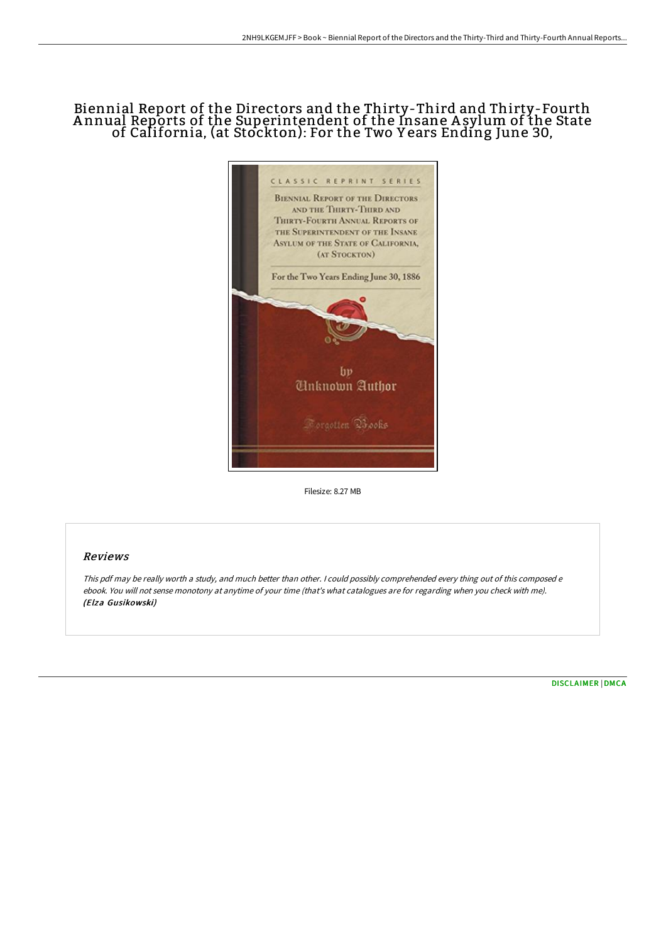# Biennial Report of the Directors and the Thirty-Third and Thirty-Fourth A nnual Reports of the Superintendent of the Insane A sylum of the State of California, (at Stockton): For the Two Y ears Ending June 30,



Filesize: 8.27 MB

## Reviews

This pdf may be really worth <sup>a</sup> study, and much better than other. <sup>I</sup> could possibly comprehended every thing out of this composed <sup>e</sup> ebook. You will not sense monotony at anytime of your time (that's what catalogues are for regarding when you check with me). (Elza Gusikowski)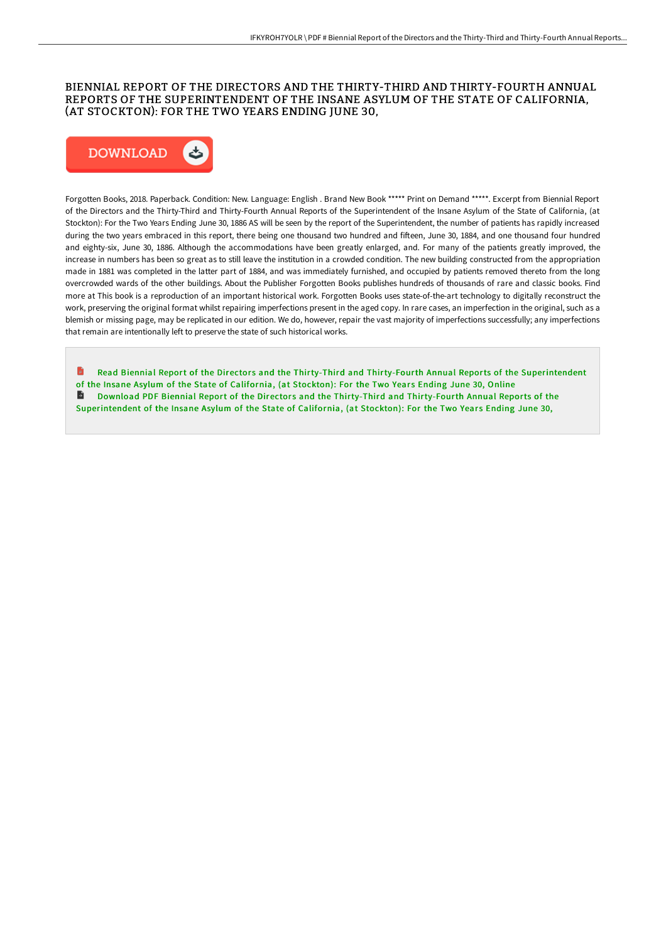### BIENNIAL REPORT OF THE DIRECTORS AND THE THIRTY-THIRD AND THIRTY-FOURTH ANNUAL REPORTS OF THE SUPERINTENDENT OF THE INSANE ASYLUM OF THE STATE OF CALIFORNIA, (AT STOCKTON): FOR THE TWO YEARS ENDING JUNE 30,



Forgotten Books, 2018. Paperback. Condition: New. Language: English . Brand New Book \*\*\*\*\* Print on Demand \*\*\*\*\*. Excerpt from Biennial Report of the Directors and the Thirty-Third and Thirty-Fourth Annual Reports of the Superintendent of the Insane Asylum of the State of California, (at Stockton): For the Two Years Ending June 30, 1886 AS will be seen by the report of the Superintendent, the number of patients has rapidly increased during the two years embraced in this report, there being one thousand two hundred and fifteen, June 30, 1884, and one thousand four hundred and eighty-six, June 30, 1886. Although the accommodations have been greatly enlarged, and. For many of the patients greatly improved, the increase in numbers has been so great as to still leave the institution in a crowded condition. The new building constructed from the appropriation made in 1881 was completed in the latter part of 1884, and was immediately furnished, and occupied by patients removed thereto from the long overcrowded wards of the other buildings. About the Publisher Forgotten Books publishes hundreds of thousands of rare and classic books. Find more at This book is a reproduction of an important historical work. Forgotten Books uses state-of-the-art technology to digitally reconstruct the work, preserving the original format whilst repairing imperfections present in the aged copy. In rare cases, an imperfection in the original, such as a blemish or missing page, may be replicated in our edition. We do, however, repair the vast majority of imperfections successfully; any imperfections that remain are intentionally left to preserve the state of such historical works.

Read Biennial Report of the Directors and the Thirty-Third and Thirty-Fourth Annual Reports of the [Superintendent](http://techno-pub.tech/biennial-report-of-the-directors-and-the-thirty--2.html) of the Insane Asylum of the State of California, (at Stockton): For the Two Years Ending June 30, Online Download PDF Biennial Report of the Directors and the Thirty-Third and Thirty-Fourth Annual Reports of the [Superintendent](http://techno-pub.tech/biennial-report-of-the-directors-and-the-thirty--2.html) of the Insane Asylum of the State of California, (at Stockton): For the Two Years Ending June 30,